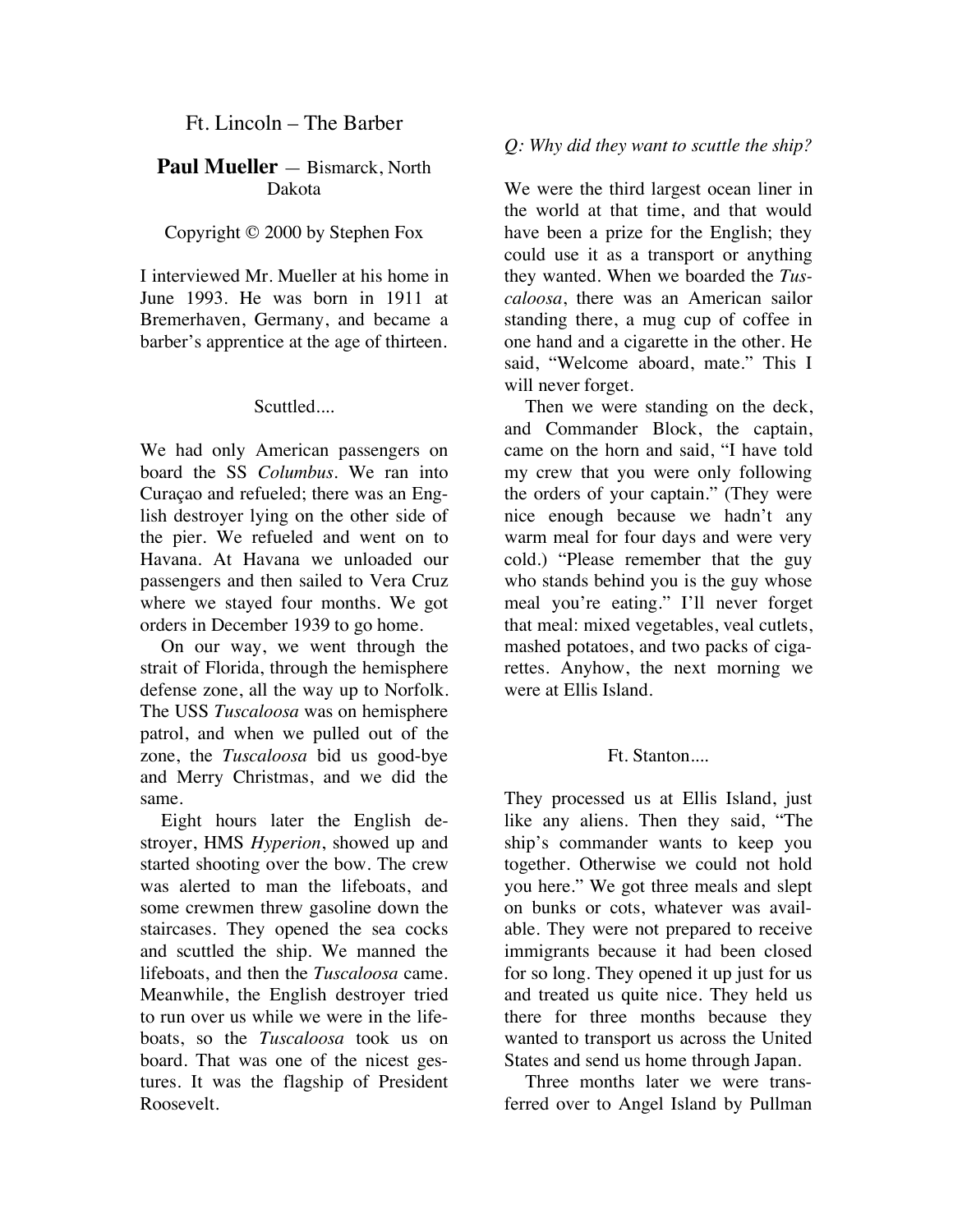# Ft. Lincoln – The Barber

## **Paul Mueller** — Bismarck, North Dakota

## Copyright © 2000 by Stephen Fox

I interviewed Mr. Mueller at his home in June 1993. He was born in 1911 at Bremerhaven, Germany, and became a barber's apprentice at the age of thirteen.

#### Scuttled....

We had only American passengers on board the SS *Columbus*. We ran into Curaçao and refueled; there was an English destroyer lying on the other side of the pier. We refueled and went on to Havana. At Havana we unloaded our passengers and then sailed to Vera Cruz where we stayed four months. We got orders in December 1939 to go home.

On our way, we went through the strait of Florida, through the hemisphere defense zone, all the way up to Norfolk. The USS *Tuscaloosa* was on hemisphere patrol, and when we pulled out of the zone, the *Tuscaloosa* bid us good-bye and Merry Christmas, and we did the same.

Eight hours later the English destroyer, HMS *Hyperion*, showed up and started shooting over the bow. The crew was alerted to man the lifeboats, and some crewmen threw gasoline down the staircases. They opened the sea cocks and scuttled the ship. We manned the lifeboats, and then the *Tuscaloosa* came. Meanwhile, the English destroyer tried to run over us while we were in the lifeboats, so the *Tuscaloosa* took us on board. That was one of the nicest gestures. It was the flagship of President Roosevelt.

## *Q: Why did they want to scuttle the ship?*

We were the third largest ocean liner in the world at that time, and that would have been a prize for the English; they could use it as a transport or anything they wanted. When we boarded the *Tuscaloosa*, there was an American sailor standing there, a mug cup of coffee in one hand and a cigarette in the other. He said, "Welcome aboard, mate." This I will never forget.

Then we were standing on the deck, and Commander Block, the captain, came on the horn and said, "I have told my crew that you were only following the orders of your captain." (They were nice enough because we hadn't any warm meal for four days and were very cold.) "Please remember that the guy who stands behind you is the guy whose meal you're eating." I'll never forget that meal: mixed vegetables, veal cutlets, mashed potatoes, and two packs of cigarettes. Anyhow, the next morning we were at Ellis Island.

## Ft. Stanton....

They processed us at Ellis Island, just like any aliens. Then they said, "The ship's commander wants to keep you together. Otherwise we could not hold you here." We got three meals and slept on bunks or cots, whatever was available. They were not prepared to receive immigrants because it had been closed for so long. They opened it up just for us and treated us quite nice. They held us there for three months because they wanted to transport us across the United States and send us home through Japan.

Three months later we were transferred over to Angel Island by Pullman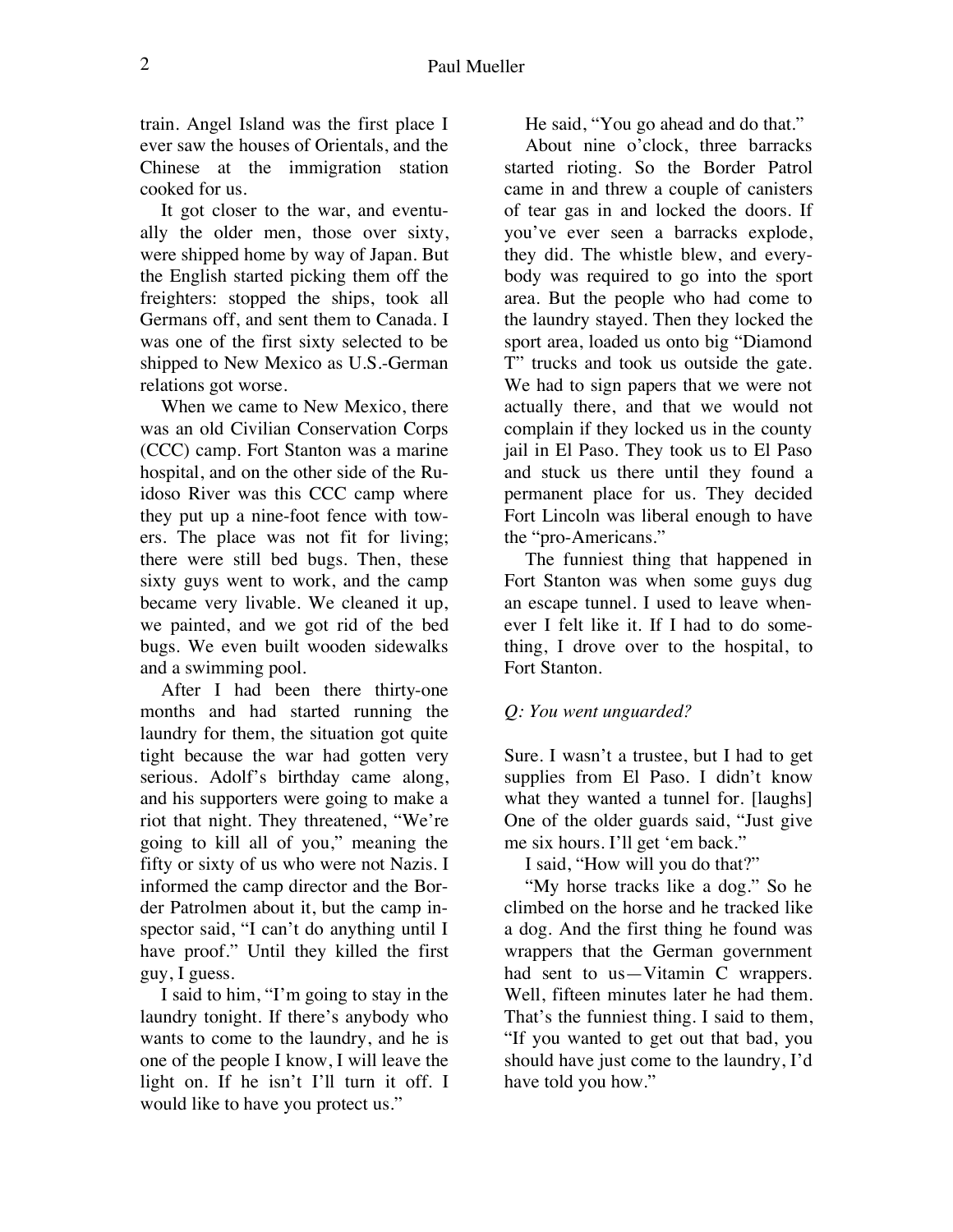train. Angel Island was the first place I ever saw the houses of Orientals, and the Chinese at the immigration station cooked for us.

It got closer to the war, and eventually the older men, those over sixty, were shipped home by way of Japan. But the English started picking them off the freighters: stopped the ships, took all Germans off, and sent them to Canada. I was one of the first sixty selected to be shipped to New Mexico as U.S.-German relations got worse.

When we came to New Mexico, there was an old Civilian Conservation Corps (CCC) camp. Fort Stanton was a marine hospital, and on the other side of the Ruidoso River was this CCC camp where they put up a nine-foot fence with towers. The place was not fit for living; there were still bed bugs. Then, these sixty guys went to work, and the camp became very livable. We cleaned it up, we painted, and we got rid of the bed bugs. We even built wooden sidewalks and a swimming pool.

After I had been there thirty-one months and had started running the laundry for them, the situation got quite tight because the war had gotten very serious. Adolf's birthday came along, and his supporters were going to make a riot that night. They threatened, "We're going to kill all of you," meaning the fifty or sixty of us who were not Nazis. I informed the camp director and the Border Patrolmen about it, but the camp inspector said, "I can't do anything until I have proof." Until they killed the first guy, I guess.

I said to him, "I'm going to stay in the laundry tonight. If there's anybody who wants to come to the laundry, and he is one of the people I know, I will leave the light on. If he isn't I'll turn it off. I would like to have you protect us."

He said, "You go ahead and do that."

About nine o'clock, three barracks started rioting. So the Border Patrol came in and threw a couple of canisters of tear gas in and locked the doors. If you've ever seen a barracks explode, they did. The whistle blew, and everybody was required to go into the sport area. But the people who had come to the laundry stayed. Then they locked the sport area, loaded us onto big "Diamond T" trucks and took us outside the gate. We had to sign papers that we were not actually there, and that we would not complain if they locked us in the county jail in El Paso. They took us to El Paso and stuck us there until they found a permanent place for us. They decided Fort Lincoln was liberal enough to have the "pro-Americans."

The funniest thing that happened in Fort Stanton was when some guys dug an escape tunnel. I used to leave whenever I felt like it. If I had to do something, I drove over to the hospital, to Fort Stanton.

# *Q: You went unguarded?*

Sure. I wasn't a trustee, but I had to get supplies from El Paso. I didn't know what they wanted a tunnel for. [laughs] One of the older guards said, "Just give me six hours. I'll get 'em back."

I said, "How will you do that?"

"My horse tracks like a dog." So he climbed on the horse and he tracked like a dog. And the first thing he found was wrappers that the German government had sent to us—Vitamin C wrappers. Well, fifteen minutes later he had them. That's the funniest thing. I said to them, "If you wanted to get out that bad, you should have just come to the laundry, I'd have told you how."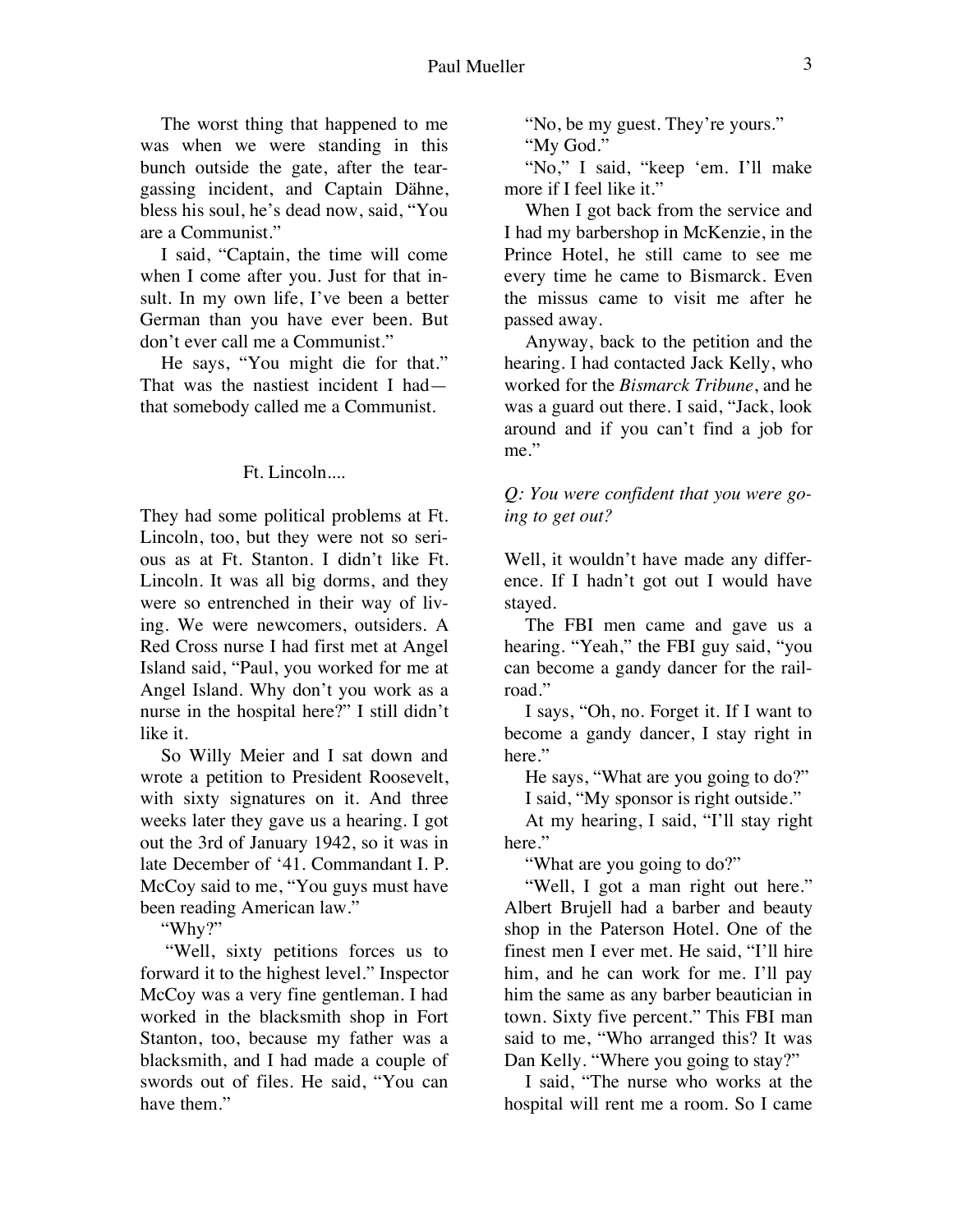The worst thing that happened to me was when we were standing in this bunch outside the gate, after the teargassing incident, and Captain Dähne, bless his soul, he's dead now, said, "You are a Communist."

I said, "Captain, the time will come when I come after you. Just for that insult. In my own life, I've been a better German than you have ever been. But don't ever call me a Communist."

He says, "You might die for that." That was the nastiest incident I had that somebody called me a Communist.

# Ft. Lincoln....

They had some political problems at Ft. Lincoln, too, but they were not so serious as at Ft. Stanton. I didn't like Ft. Lincoln. It was all big dorms, and they were so entrenched in their way of living. We were newcomers, outsiders. A Red Cross nurse I had first met at Angel Island said, "Paul, you worked for me at Angel Island. Why don't you work as a nurse in the hospital here?" I still didn't like it.

So Willy Meier and I sat down and wrote a petition to President Roosevelt, with sixty signatures on it. And three weeks later they gave us a hearing. I got out the 3rd of January 1942, so it was in late December of '41. Commandant I. P. McCoy said to me, "You guys must have been reading American law."

"Why?"

 "Well, sixty petitions forces us to forward it to the highest level." Inspector McCoy was a very fine gentleman. I had worked in the blacksmith shop in Fort Stanton, too, because my father was a blacksmith, and I had made a couple of swords out of files. He said, "You can have them."

"No, be my guest. They're yours."

"My God."

"No," I said, "keep 'em. I'll make more if I feel like it."

When I got back from the service and I had my barbershop in McKenzie, in the Prince Hotel, he still came to see me every time he came to Bismarck. Even the missus came to visit me after he passed away.

Anyway, back to the petition and the hearing. I had contacted Jack Kelly, who worked for the *Bismarck Tribune*, and he was a guard out there. I said, "Jack, look around and if you can't find a job for me."

*Q: You were confident that you were going to get out?* 

Well, it wouldn't have made any difference. If I hadn't got out I would have stayed.

The FBI men came and gave us a hearing. "Yeah," the FBI guy said, "you can become a gandy dancer for the railroad."

I says, "Oh, no. Forget it. If I want to become a gandy dancer, I stay right in here."

He says, "What are you going to do?"

I said, "My sponsor is right outside."

At my hearing, I said, "I'll stay right here."

"What are you going to do?"

"Well, I got a man right out here." Albert Brujell had a barber and beauty shop in the Paterson Hotel. One of the finest men I ever met. He said, "I'll hire him, and he can work for me. I'll pay him the same as any barber beautician in town. Sixty five percent." This FBI man said to me, "Who arranged this? It was Dan Kelly. "Where you going to stay?"

I said, "The nurse who works at the hospital will rent me a room. So I came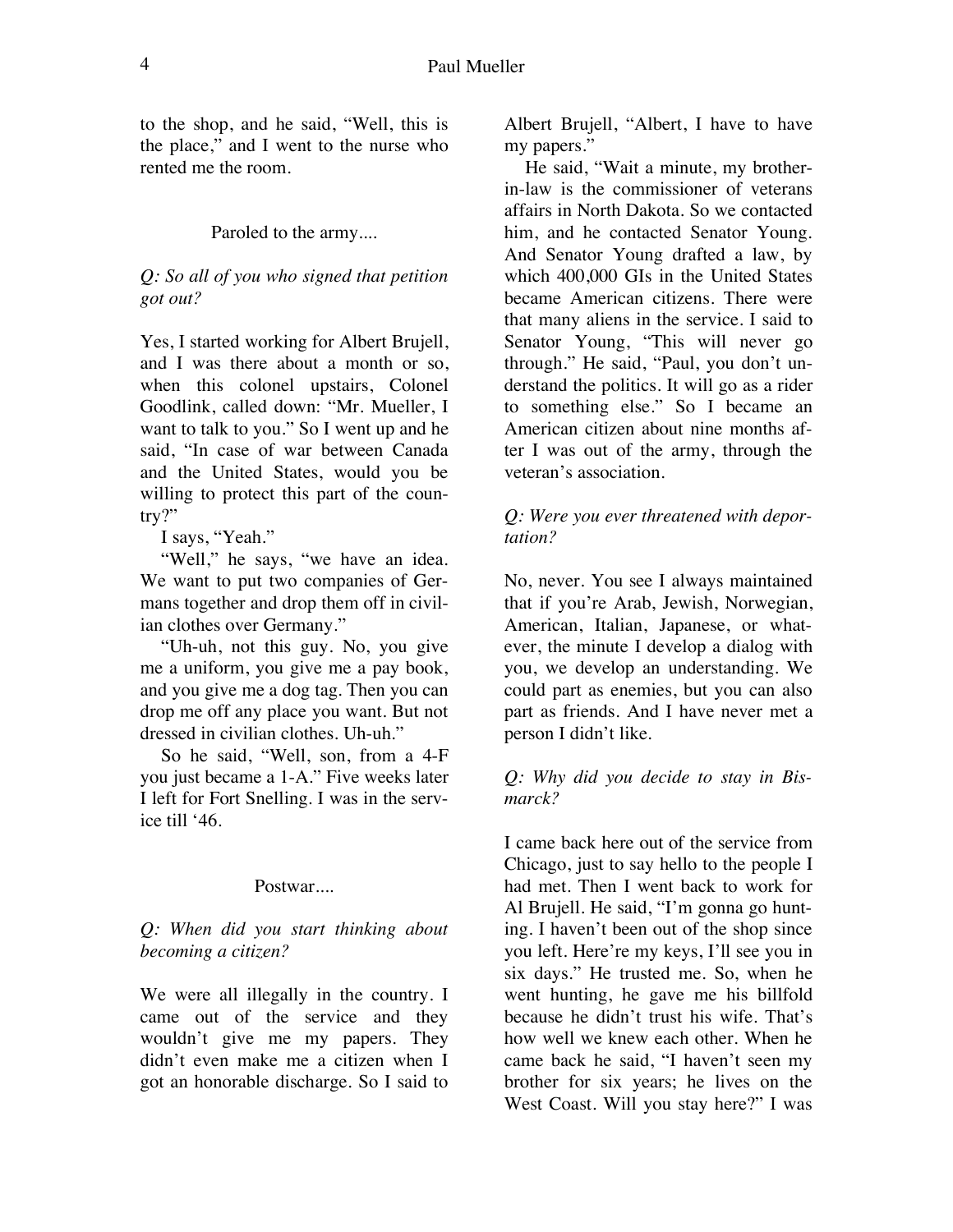to the shop, and he said, "Well, this is the place," and I went to the nurse who rented me the room.

#### Paroled to the army....

## *Q: So all of you who signed that petition got out?*

Yes, I started working for Albert Brujell, and I was there about a month or so, when this colonel upstairs, Colonel Goodlink, called down: "Mr. Mueller, I want to talk to you." So I went up and he said, "In case of war between Canada and the United States, would you be willing to protect this part of the country?"

I says, "Yeah."

"Well," he says, "we have an idea. We want to put two companies of Germans together and drop them off in civilian clothes over Germany."

"Uh-uh, not this guy. No, you give me a uniform, you give me a pay book, and you give me a dog tag. Then you can drop me off any place you want. But not dressed in civilian clothes. Uh-uh."

So he said, "Well, son, from a 4-F you just became a 1-A." Five weeks later I left for Fort Snelling. I was in the service till '46.

#### Postwar....

*Q: When did you start thinking about becoming a citizen?* 

We were all illegally in the country. I came out of the service and they wouldn't give me my papers. They didn't even make me a citizen when I got an honorable discharge. So I said to

Albert Brujell, "Albert, I have to have my papers."

He said, "Wait a minute, my brotherin-law is the commissioner of veterans affairs in North Dakota. So we contacted him, and he contacted Senator Young. And Senator Young drafted a law, by which 400,000 GIs in the United States became American citizens. There were that many aliens in the service. I said to Senator Young, "This will never go through." He said, "Paul, you don't understand the politics. It will go as a rider to something else." So I became an American citizen about nine months after I was out of the army, through the veteran's association.

### *Q: Were you ever threatened with deportation?*

No, never. You see I always maintained that if you're Arab, Jewish, Norwegian, American, Italian, Japanese, or whatever, the minute I develop a dialog with you, we develop an understanding. We could part as enemies, but you can also part as friends. And I have never met a person I didn't like.

#### *Q: Why did you decide to stay in Bismarck?*

I came back here out of the service from Chicago, just to say hello to the people I had met. Then I went back to work for Al Brujell. He said, "I'm gonna go hunting. I haven't been out of the shop since you left. Here're my keys, I'll see you in six days." He trusted me. So, when he went hunting, he gave me his billfold because he didn't trust his wife. That's how well we knew each other. When he came back he said, "I haven't seen my brother for six years; he lives on the West Coast. Will you stay here?" I was